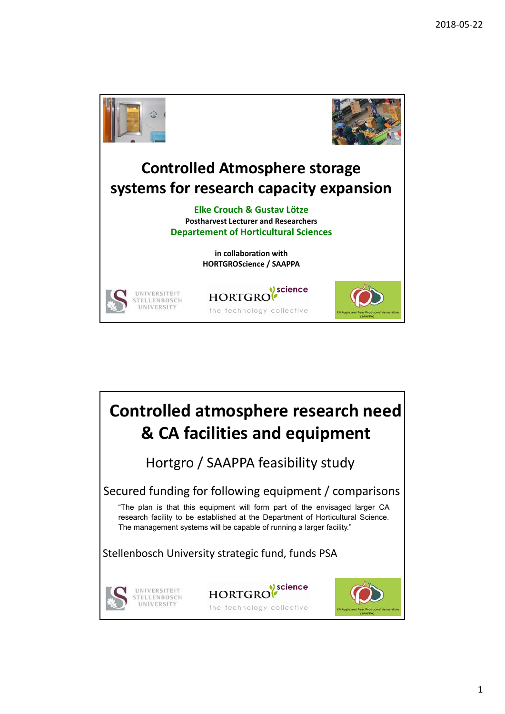

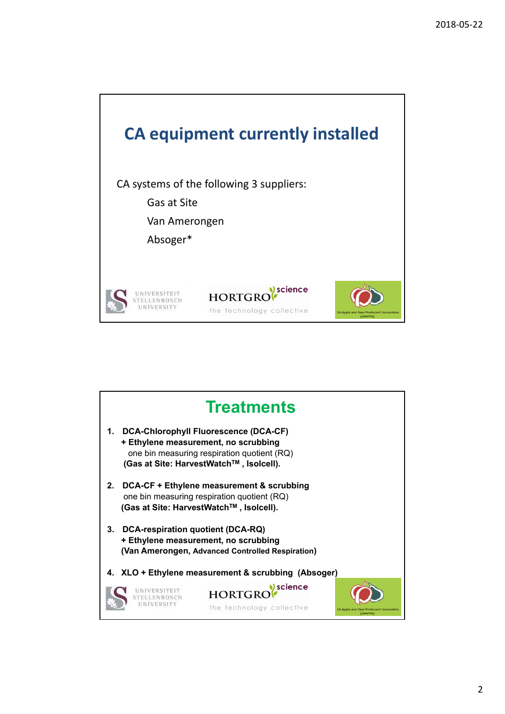

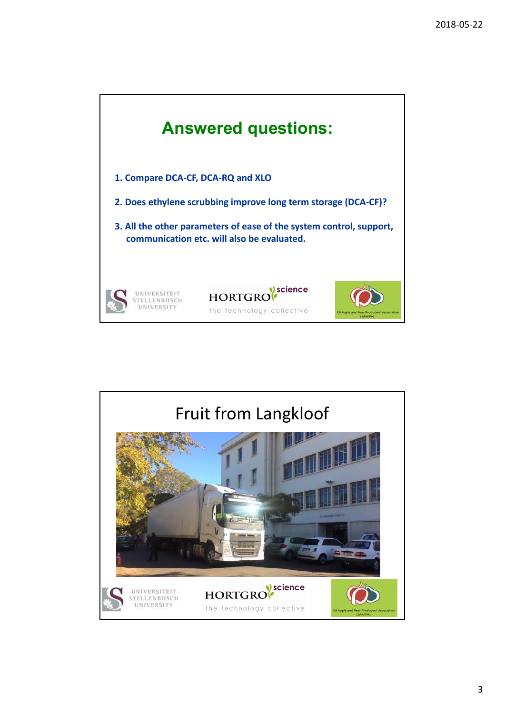

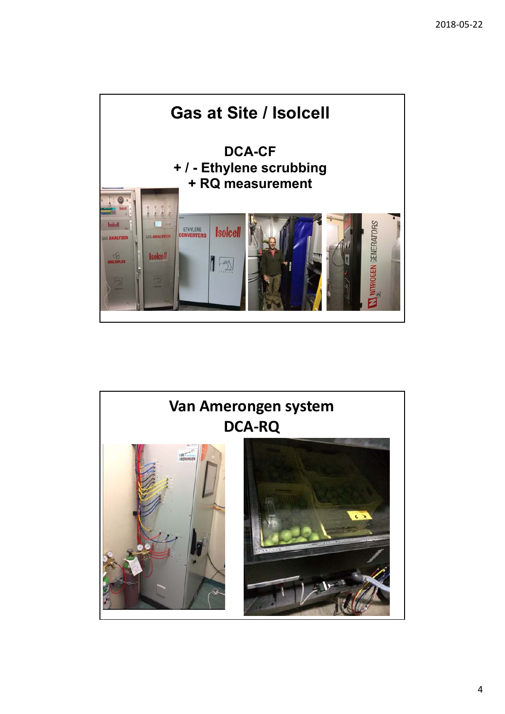